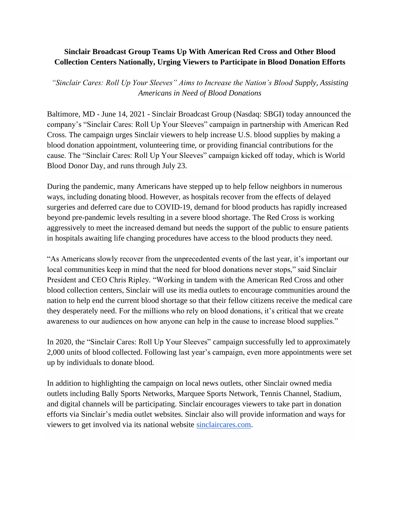## **Sinclair Broadcast Group Teams Up With American Red Cross and Other Blood Collection Centers Nationally, Urging Viewers to Participate in Blood Donation Efforts**

*"Sinclair Cares: Roll Up Your Sleeves" Aims to Increase the Nation's Blood Supply, Assisting Americans in Need of Blood Donations*

Baltimore, MD - June 14, 2021 - Sinclair Broadcast Group (Nasdaq: SBGI) today announced the company's "Sinclair Cares: Roll Up Your Sleeves" campaign in partnership with American Red Cross. The campaign urges Sinclair viewers to help increase U.S. blood supplies by making a blood donation appointment, volunteering time, or providing financial contributions for the cause. The "Sinclair Cares: Roll Up Your Sleeves" campaign kicked off today, which is World Blood Donor Day, and runs through July 23.

During the pandemic, many Americans have stepped up to help fellow neighbors in numerous ways, including donating blood. However, as hospitals recover from the effects of delayed surgeries and deferred care due to COVID-19, demand for blood products has rapidly increased beyond pre-pandemic levels resulting in a severe blood shortage. The Red Cross is working aggressively to meet the increased demand but needs the support of the public to ensure patients in hospitals awaiting life changing procedures have access to the blood products they need.

"As Americans slowly recover from the unprecedented events of the last year, it's important our local communities keep in mind that the need for blood donations never stops," said Sinclair President and CEO Chris Ripley. "Working in tandem with the American Red Cross and other blood collection centers, Sinclair will use its media outlets to encourage communities around the nation to help end the current blood shortage so that their fellow citizens receive the medical care they desperately need. For the millions who rely on blood donations, it's critical that we create awareness to our audiences on how anyone can help in the cause to increase blood supplies."

In 2020, the "Sinclair Cares: Roll Up Your Sleeves" campaign successfully led to approximately 2,000 units of blood collected. Following last year's campaign, even more appointments were set up by individuals to donate blood.

In addition to highlighting the campaign on local news outlets, other Sinclair owned media outlets including Bally Sports Networks, Marquee Sports Network, Tennis Channel, Stadium, and digital channels will be participating. Sinclair encourages viewers to take part in donation efforts via Sinclair's media outlet websites. Sinclair also will provide information and ways for viewers to get involved via its national website [sinclaircares.com.](http://sinclaircares.com/)